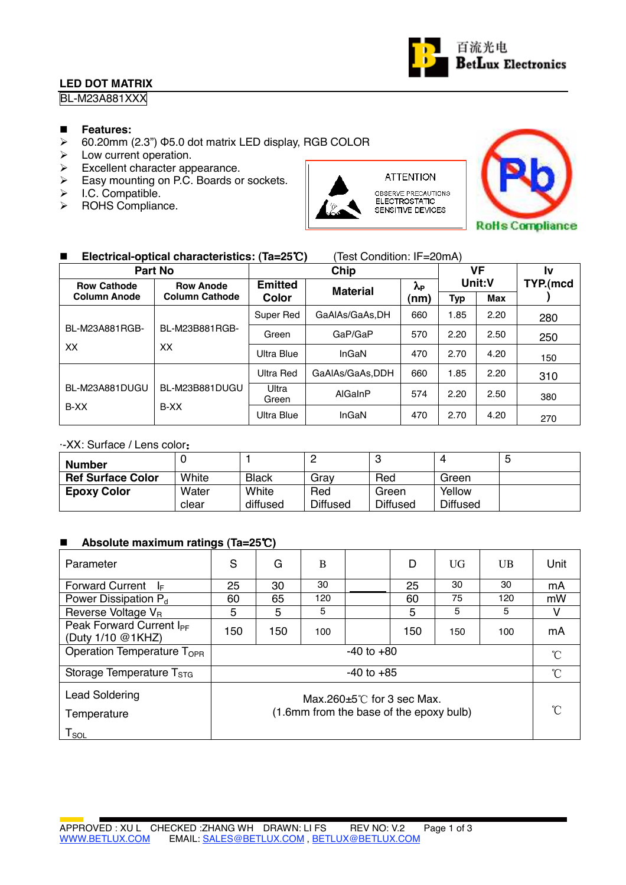## **LED DOT MATRIX**



BL-M23A881XXX

#### **Features:**

- $\geq$  60.20mm (2.3")  $\Phi$ 5.0 dot matrix LED display, RGB COLOR
- $\triangleright$  Low current operation.
- $\triangleright$  Excellent character appearance.
- Easy mounting on P.C. Boards or sockets.<br>  $\triangleright$  I.C. Compatible
- $\triangleright$  I.C. Compatible.<br>  $\triangleright$  ROHS Complian
- ROHS Compliance.



OBSERVE PRECAUTIONS<br>ELECTROSTATIC SENSITIVE DEVICES

**ATTENTION** 



## ■ Electrical-optical characteristics: (Ta=25℃) (Test Condition: IF=20mA)

|                                        | <b>Part No</b>        |                | VF              |      | Iv         |      |          |
|----------------------------------------|-----------------------|----------------|-----------------|------|------------|------|----------|
| <b>Row Cathode</b><br><b>Row Anode</b> |                       | <b>Emitted</b> | <b>Material</b> | λp   | Unit:V     |      | TYP.(mcd |
| <b>Column Anode</b>                    | <b>Column Cathode</b> | Color          |                 | (nm) | <b>Typ</b> | Max  |          |
|                                        |                       | Super Red      | GaAlAs/GaAs,DH  | 660  | 1.85       | 2.20 | 280      |
| BL-M23A881RGB-                         | BL-M23B881RGB-        | Green          | GaP/GaP         | 570  | 2.20       | 2.50 | 250      |
| XX                                     | XX                    | Ultra Blue     | InGaN           | 470  | 2.70       | 4.20 | 150      |
|                                        |                       | Ultra Red      | GaAIAs/GaAs.DDH | 660  | 1.85       | 2.20 | 310      |
| BL-M23A881DUGU                         | BL-M23B881DUGU        | Ultra<br>Green | AlGaInP         | 574  | 2.20       | 2.50 | 380      |
| B-XX                                   | B-XX                  | Ultra Blue     | InGaN           | 470  | 2.70       | 4.20 | 270      |

## ·-XX: Surface / Lens color

| <b>Number</b>            |       |              |                 |                 | $\Delta$        | G |
|--------------------------|-------|--------------|-----------------|-----------------|-----------------|---|
| <b>Ref Surface Color</b> | White | <b>Black</b> | Grav            | Red             | Green           |   |
| <b>Epoxy Color</b>       | Water | White        | Red             | Green           | Yellow          |   |
|                          | clear | diffused     | <b>Diffused</b> | <b>Diffused</b> | <b>Diffused</b> |   |

#### ■ Absolute maximum ratings (Ta=25℃)

| Parameter                                                           | S                                                                               | G   | B   |  | D   | UG            | UB  | Unit          |
|---------------------------------------------------------------------|---------------------------------------------------------------------------------|-----|-----|--|-----|---------------|-----|---------------|
| <b>Forward Current</b><br>I⊧                                        | 25                                                                              | 30  | 30  |  | 25  | 30            | 30  | mA            |
| Power Dissipation P <sub>d</sub>                                    | 60                                                                              | 65  | 120 |  | 60  | 75            | 120 | mW            |
| Reverse Voltage V <sub>R</sub>                                      | 5                                                                               | 5   | 5   |  | 5   | 5             | 5   | v             |
| Peak Forward Current I <sub>PF</sub><br>(Duty 1/10 @1KHZ)           | 150                                                                             | 150 | 100 |  | 150 | 150           | 100 | mA            |
| Operation Temperature T <sub>OPR</sub><br>$-40$ to $+80$            |                                                                                 |     |     |  |     | $\mathcal{C}$ |     |               |
| Storage Temperature T <sub>STG</sub>                                | $-40$ to $+85$                                                                  |     |     |  |     |               |     | $\mathcal{C}$ |
| <b>Lead Soldering</b><br>Temperature<br>$\mathsf{T}_{\mathsf{SOL}}$ | Max $260+5^{\circ}$ C for 3 sec Max.<br>(1.6mm from the base of the epoxy bulb) |     |     |  |     |               |     | $\hat{C}$     |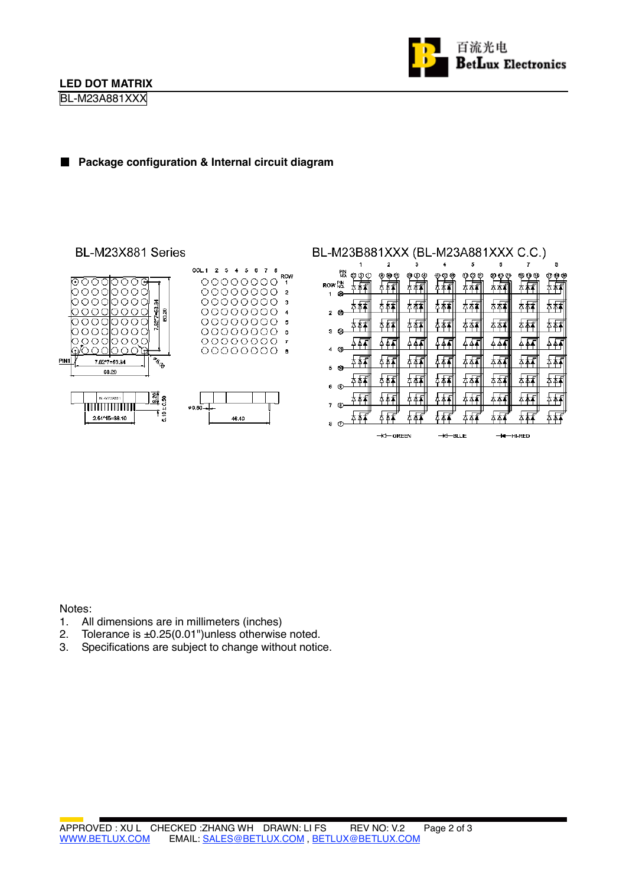BL-M23A881XXX



### **Package configuration & Internal circuit diagram**

#### BL-M23X881 Series



### BL-M23B881XXX (BL-M23A881XXX C.C.)

|                   |                 |             | 2              | з           |                     | 5            | 6        | 7            | 8       |
|-------------------|-----------------|-------------|----------------|-------------|---------------------|--------------|----------|--------------|---------|
| ROW NO.           | PIN<br>No.<br>❀ | Φ<br>ø<br>Π | σ<br>OJ.<br>οŋ | ⊕<br>®<br>Œ | 6.<br>28            | ω<br>დ<br>ű3 | 21<br>13 | ŒΘ<br>ω<br>o | ФФ<br>O |
| 1<br>$\mathbf{z}$ | తి              |             | Δ.<br>Δ        | ΔТ          |                     | Δ            |          | Δ            |         |
| з                 | ⊗               |             | Δ              |             |                     |              |          | Λ            |         |
| 4                 | ø               |             |                |             |                     |              |          |              |         |
| 5                 | Û               |             |                |             |                     |              |          |              |         |
| 6                 | ◉               |             |                |             |                     |              |          |              |         |
| 7                 | ⊚               |             |                |             |                     |              |          |              |         |
| 8                 | ®               |             | - GREEN<br>ю   |             | <del>KI</del> -BLUE |              |          | -HI-RED      |         |

Notes:

- 1. All dimensions are in millimeters (inches)
- 2. Tolerance is ±0.25(0.01")unless otherwise noted.
- 3. Specifications are subject to change without notice.

 $\,$  6

 $\bar{r}$